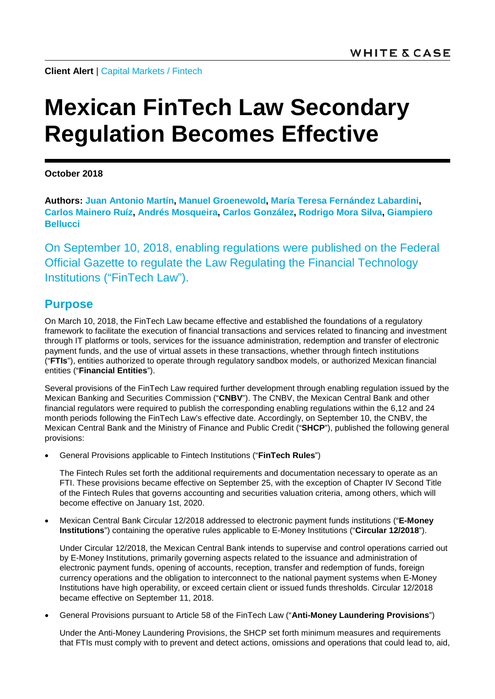**Client Alert** | [Capital Markets](https://www.whitecase.com/law/practices/capital-markets) / [Fintech](https://www.whitecase.com/law/industries/fintech/overview)

# **Mexican FinTech Law Secondary Regulation Becomes Effective**

**October 2018**

**Authors: [Juan Antonio Martín,](https://www.whitecase.com/people/juan-antonio-martin) [Manuel Groenewold,](https://www.whitecase.com/people/manuel-groenewold) [María Teresa Fernández Labardini,](https://www.whitecase.com/people/maria-teresa-fernandez-labardini) [Carlos Mainero Ruíz,](https://www.whitecase.com/people/carlos-mainero-ruiz) [Andrés Mosqueira,](https://www.whitecase.com/people/andres-mosqueira) [Carlos González,](https://www.whitecase.com/people/carlos-gonzalez) [Rodrigo Mora](https://www.whitecase.com/people/rodrigo-mora-silva) Silva, [Giampiero](mailto:giampiero.bellucci@whitecase.com)  [Bellucci](mailto:giampiero.bellucci@whitecase.com)**

On September 10, 2018, enabling regulations were published on the Federal Official Gazette to regulate the Law Regulating the Financial Technology Institutions ("FinTech Law").

### **Purpose**

On March 10, 2018, the FinTech Law became effective and established the foundations of a regulatory framework to facilitate the execution of financial transactions and services related to financing and investment through IT platforms or tools, services for the issuance administration, redemption and transfer of electronic payment funds, and the use of virtual assets in these transactions, whether through fintech institutions ("**FTIs**"), entities authorized to operate through regulatory sandbox models, or authorized Mexican financial entities ("**Financial Entities**").

Several provisions of the FinTech Law required further development through enabling regulation issued by the Mexican Banking and Securities Commission ("**CNBV**"). The CNBV, the Mexican Central Bank and other financial regulators were required to publish the corresponding enabling regulations within the 6,12 and 24 month periods following the FinTech Law's effective date. Accordingly, on September 10, the CNBV, the Mexican Central Bank and the Ministry of Finance and Public Credit ("**SHCP**"), published the following general provisions:

• General Provisions applicable to Fintech Institutions ("**FinTech Rules**")

The Fintech Rules set forth the additional requirements and documentation necessary to operate as an FTI. These provisions became effective on September 25, with the exception of Chapter IV Second Title of the Fintech Rules that governs accounting and securities valuation criteria, among others, which will become effective on January 1st, 2020.

• Mexican Central Bank Circular 12/2018 addressed to electronic payment funds institutions ("**E-Money Institutions**") containing the operative rules applicable to E-Money Institutions ("**Circular 12/2018**").

Under Circular 12/2018, the Mexican Central Bank intends to supervise and control operations carried out by E-Money Institutions, primarily governing aspects related to the issuance and administration of electronic payment funds, opening of accounts, reception, transfer and redemption of funds, foreign currency operations and the obligation to interconnect to the national payment systems when E-Money Institutions have high operability, or exceed certain client or issued funds thresholds. Circular 12/2018 became effective on September 11, 2018.

• General Provisions pursuant to Article 58 of the FinTech Law ("**Anti-Money Laundering Provisions**")

Under the Anti-Money Laundering Provisions, the SHCP set forth minimum measures and requirements that FTIs must comply with to prevent and detect actions, omissions and operations that could lead to, aid,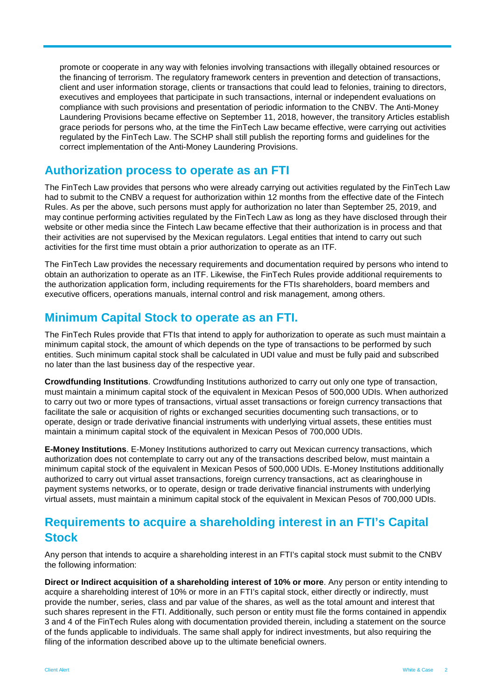promote or cooperate in any way with felonies involving transactions with illegally obtained resources or the financing of terrorism. The regulatory framework centers in prevention and detection of transactions, client and user information storage, clients or transactions that could lead to felonies, training to directors, executives and employees that participate in such transactions, internal or independent evaluations on compliance with such provisions and presentation of periodic information to the CNBV. The Anti-Money Laundering Provisions became effective on September 11, 2018, however, the transitory Articles establish grace periods for persons who, at the time the FinTech Law became effective, were carrying out activities regulated by the FinTech Law. The SCHP shall still publish the reporting forms and guidelines for the correct implementation of the Anti-Money Laundering Provisions.

#### **Authorization process to operate as an FTI**

The FinTech Law provides that persons who were already carrying out activities regulated by the FinTech Law had to submit to the CNBV a request for authorization within 12 months from the effective date of the Fintech Rules. As per the above, such persons must apply for authorization no later than September 25, 2019, and may continue performing activities regulated by the FinTech Law as long as they have disclosed through their website or other media since the Fintech Law became effective that their authorization is in process and that their activities are not supervised by the Mexican regulators. Legal entities that intend to carry out such activities for the first time must obtain a prior authorization to operate as an ITF.

The FinTech Law provides the necessary requirements and documentation required by persons who intend to obtain an authorization to operate as an ITF. Likewise, the FinTech Rules provide additional requirements to the authorization application form, including requirements for the FTIs shareholders, board members and executive officers, operations manuals, internal control and risk management, among others.

### **Minimum Capital Stock to operate as an FTI.**

The FinTech Rules provide that FTIs that intend to apply for authorization to operate as such must maintain a minimum capital stock, the amount of which depends on the type of transactions to be performed by such entities. Such minimum capital stock shall be calculated in UDI value and must be fully paid and subscribed no later than the last business day of the respective year.

**Crowdfunding Institutions**. Crowdfunding Institutions authorized to carry out only one type of transaction, must maintain a minimum capital stock of the equivalent in Mexican Pesos of 500,000 UDIs. When authorized to carry out two or more types of transactions, virtual asset transactions or foreign currency transactions that facilitate the sale or acquisition of rights or exchanged securities documenting such transactions, or to operate, design or trade derivative financial instruments with underlying virtual assets, these entities must maintain a minimum capital stock of the equivalent in Mexican Pesos of 700,000 UDIs.

**E-Money Institutions**. E-Money Institutions authorized to carry out Mexican currency transactions, which authorization does not contemplate to carry out any of the transactions described below, must maintain a minimum capital stock of the equivalent in Mexican Pesos of 500,000 UDIs. E-Money Institutions additionally authorized to carry out virtual asset transactions, foreign currency transactions, act as clearinghouse in payment systems networks, or to operate, design or trade derivative financial instruments with underlying virtual assets, must maintain a minimum capital stock of the equivalent in Mexican Pesos of 700,000 UDIs.

## **Requirements to acquire a shareholding interest in an FTI's Capital Stock**

Any person that intends to acquire a shareholding interest in an FTI's capital stock must submit to the CNBV the following information:

**Direct or Indirect acquisition of a shareholding interest of 10% or more**. Any person or entity intending to acquire a shareholding interest of 10% or more in an FTI's capital stock, either directly or indirectly, must provide the number, series, class and par value of the shares, as well as the total amount and interest that such shares represent in the FTI. Additionally, such person or entity must file the forms contained in appendix 3 and 4 of the FinTech Rules along with documentation provided therein, including a statement on the source of the funds applicable to individuals. The same shall apply for indirect investments, but also requiring the filing of the information described above up to the ultimate beneficial owners.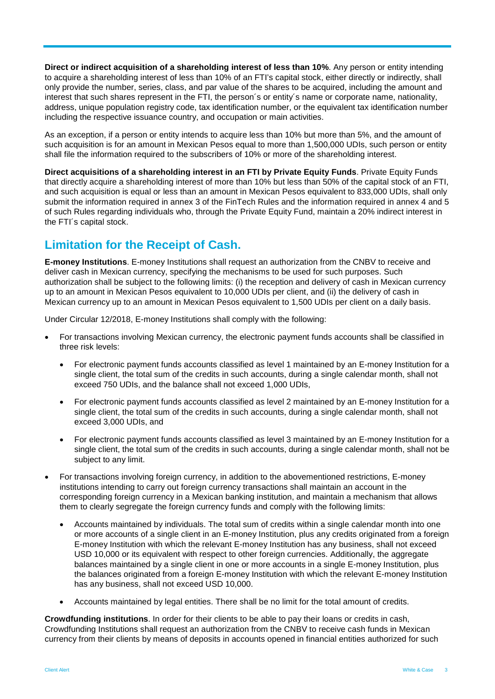**Direct or indirect acquisition of a shareholding interest of less than 10%**. Any person or entity intending to acquire a shareholding interest of less than 10% of an FTI's capital stock, either directly or indirectly, shall only provide the number, series, class, and par value of the shares to be acquired, including the amount and interest that such shares represent in the FTI, the person´s or entity´s name or corporate name, nationality, address, unique population registry code, tax identification number, or the equivalent tax identification number including the respective issuance country, and occupation or main activities.

As an exception, if a person or entity intends to acquire less than 10% but more than 5%, and the amount of such acquisition is for an amount in Mexican Pesos equal to more than 1,500,000 UDIs, such person or entity shall file the information required to the subscribers of 10% or more of the shareholding interest.

**Direct acquisitions of a shareholding interest in an FTI by Private Equity Funds**. Private Equity Funds that directly acquire a shareholding interest of more than 10% but less than 50% of the capital stock of an FTI, and such acquisition is equal or less than an amount in Mexican Pesos equivalent to 833,000 UDIs, shall only submit the information required in annex 3 of the FinTech Rules and the information required in annex 4 and 5 of such Rules regarding individuals who, through the Private Equity Fund, maintain a 20% indirect interest in the FTI´s capital stock.

## **Limitation for the Receipt of Cash.**

**E-money Institutions**. E-money Institutions shall request an authorization from the CNBV to receive and deliver cash in Mexican currency, specifying the mechanisms to be used for such purposes. Such authorization shall be subject to the following limits: (i) the reception and delivery of cash in Mexican currency up to an amount in Mexican Pesos equivalent to 10,000 UDIs per client, and (ii) the delivery of cash in Mexican currency up to an amount in Mexican Pesos equivalent to 1,500 UDIs per client on a daily basis.

Under Circular 12/2018, E-money Institutions shall comply with the following:

- For transactions involving Mexican currency, the electronic payment funds accounts shall be classified in three risk levels:
	- For electronic payment funds accounts classified as level 1 maintained by an E-money Institution for a single client, the total sum of the credits in such accounts, during a single calendar month, shall not exceed 750 UDIs, and the balance shall not exceed 1,000 UDIs,
	- For electronic payment funds accounts classified as level 2 maintained by an E-money Institution for a single client, the total sum of the credits in such accounts, during a single calendar month, shall not exceed 3,000 UDIs, and
	- For electronic payment funds accounts classified as level 3 maintained by an E-money Institution for a single client, the total sum of the credits in such accounts, during a single calendar month, shall not be subject to any limit.
- For transactions involving foreign currency, in addition to the abovementioned restrictions, E-money institutions intending to carry out foreign currency transactions shall maintain an account in the corresponding foreign currency in a Mexican banking institution, and maintain a mechanism that allows them to clearly segregate the foreign currency funds and comply with the following limits:
	- Accounts maintained by individuals. The total sum of credits within a single calendar month into one or more accounts of a single client in an E-money Institution, plus any credits originated from a foreign E-money Institution with which the relevant E-money Institution has any business, shall not exceed USD 10,000 or its equivalent with respect to other foreign currencies. Additionally, the aggregate balances maintained by a single client in one or more accounts in a single E-money Institution, plus the balances originated from a foreign E-money Institution with which the relevant E-money Institution has any business, shall not exceed USD 10,000.
	- Accounts maintained by legal entities. There shall be no limit for the total amount of credits.

**Crowdfunding institutions**. In order for their clients to be able to pay their loans or credits in cash, Crowdfunding Institutions shall request an authorization from the CNBV to receive cash funds in Mexican currency from their clients by means of deposits in accounts opened in financial entities authorized for such